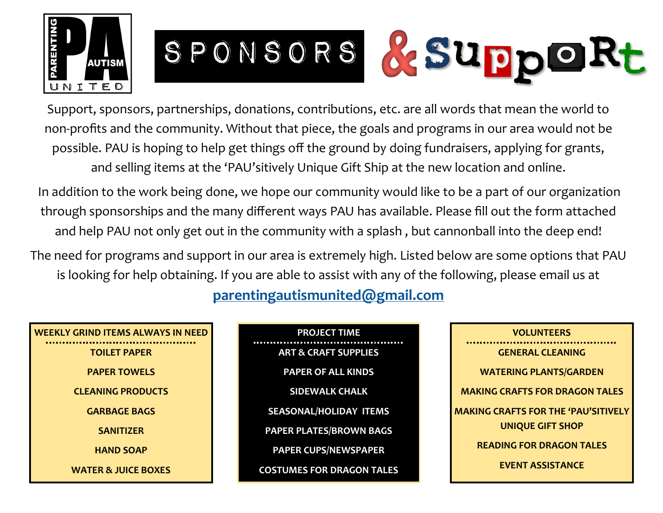

SPONSORS & SUppORt

Support, sponsors, partnerships, donations, contributions, etc. are all words that mean the world to non-profits and the community. Without that piece, the goals and programs in our area would not be possible. PAU is hoping to help get things off the ground by doing fundraisers, applying for grants, and selling items at the 'PAU'sitively Unique Gift Ship at the new location and online.

In addition to the work being done, we hope our community would like to be a part of our organization through sponsorships and the many different ways PAU has available. Please fill out the form attached and help PAU not only get out in the community with a splash , but cannonball into the deep end!

The need for programs and support in our area is extremely high. Listed below are some options that PAU is looking for help obtaining. If you are able to assist with any of the following, please email us at

**[parentingautismunited@gmail.com](mailto:parentingautismunited@gmail.com?subject=Sponsor%20-%20Support%20-%20Donations%20)**

## **WEEKLY GRIND ITEMS ALWAYS IN NEED**

**TOILET PAPER PAPER TOWELS CLEANING PRODUCTS GARBAGE BAGS SANITIZER HAND SOAP WATER & JUICE BOXES** **PROJECT TIME ART & CRAFT SUPPLIES PAPER OF ALL KINDS SIDEWALK CHALK SEASONAL/HOLIDAY ITEMS PAPER PLATES/BROWN BAGS PAPER CUPS/NEWSPAPER COSTUMES FOR DRAGON TALES**

| <b>VOLUNTEERS</b>                          |
|--------------------------------------------|
| <b>GENERAL CLEANING</b>                    |
| <b>WATERING PLANTS/GARDEN</b>              |
| <b>MAKING CRAFTS FOR DRAGON TALES</b>      |
| <b>MAKING CRAFTS FOR THE 'PAU'SITIVELY</b> |
| <b>UNIQUE GIFT SHOP</b>                    |
| <b>READING FOR DRAGON TALES</b>            |
| <b>EVENT ASSISTANCE</b>                    |
|                                            |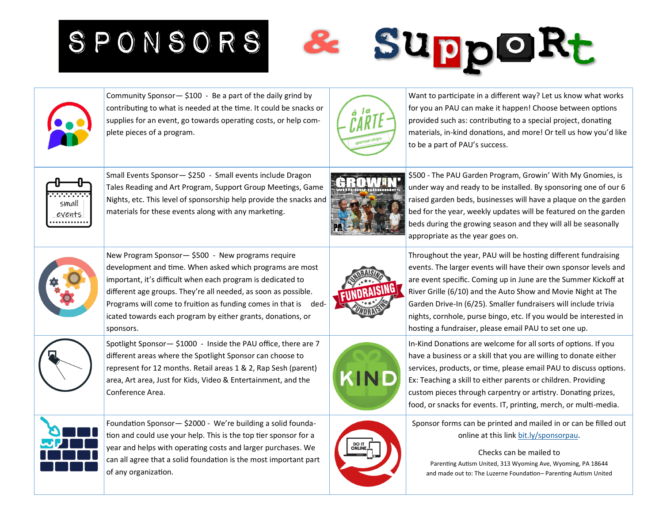SPONSORS





Want to participate in a different way? Let us know what works for you an PAU can make it happen! Choose between options provided such as: contributing to a special project, donating materials, in-kind donations, and more! Or tell us how you'd like to be a part of PAU's success.

SuppoRt



Small Events Sponsor— \$250 - Small events include Dragon Tales Reading and Art Program, Support Group Meetings, Game Nights, etc. This level of sponsorship help provide the snacks and materials for these events along with any marketing.



\$500 - The PAU Garden Program, Growin' With My Gnomies, is under way and ready to be installed. By sponsoring one of our 6 raised garden beds, businesses will have a plaque on the garden bed for the year, weekly updates will be featured on the garden beds during the growing season and they will all be seasonally appropriate as the year goes on.



Throughout the year, PAU will be hosting different fundraising events. The larger events will have their own sponsor levels and are event specific. Coming up in June are the Summer Kickoff at River Grille (6/10) and the Auto Show and Movie Night at The Garden Drive-In (6/25). Smaller fundraisers will include trivia nights, cornhole, purse bingo, etc. If you would be interested in hosting a fundraiser, please email PAU to set one up.



In-Kind Donations are welcome for all sorts of options. If you have a business or a skill that you are willing to donate either services, products, or time, please email PAU to discuss options. Ex: Teaching a skill to either parents or children. Providing custom pieces through carpentry or artistry. Donating prizes, food, or snacks for events. IT, printing, merch, or multi-media.



Sponsor forms can be printed and mailed in or can be filled out online at this link [bit.ly/sponsorpau.](https://bit.ly/sponsorpau)

Checks can be mailed to Parenting Autism United, 313 Wyoming Ave, Wyoming, PA 18644 and made out to: The Luzerne Foundation– Parenting Autism United





Spotlight Sponsor— \$1000 - Inside the PAU office, there are 7 different areas where the Spotlight Sponsor can choose to represent for 12 months. Retail areas 1 & 2, Rap Sesh (parent) area, Art area, Just for Kids, Video & Entertainment, and the Conference Area.



Foundation Sponsor— \$2000 - We're building a solid foundation and could use your help. This is the top tier sponsor for a year and helps with operating costs and larger purchases. We can all agree that a solid foundation is the most important part of any organization.